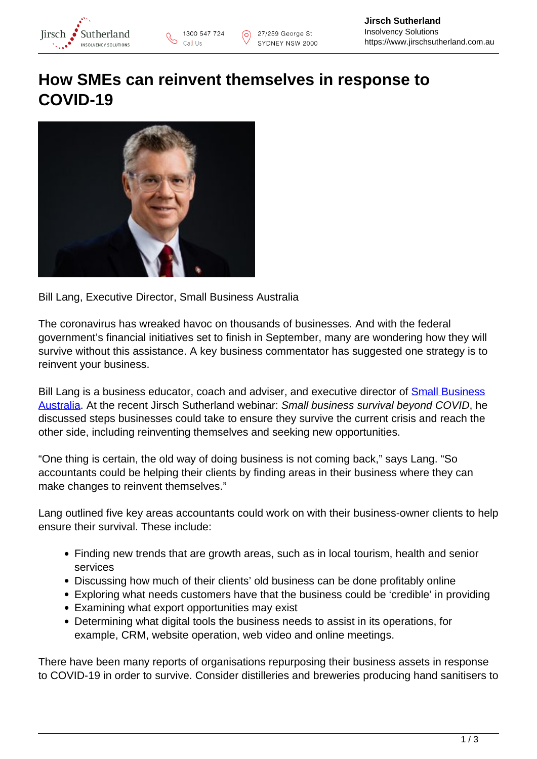

## **How SMEs can reinvent themselves in response to COVID-19**



Bill Lang, Executive Director, Small Business Australia

The coronavirus has wreaked havoc on thousands of businesses. And with the federal government's financial initiatives set to finish in September, many are wondering how they will survive without this assistance. A key business commentator has suggested one strategy is to reinvent your business.

Bill Lang is a business educator, coach and adviser, and executive director of **Small Business** [Australia](https://www.smallbusinessaustralia.org/about/). At the recent Jirsch Sutherland webinar: Small business survival beyond COVID, he discussed steps businesses could take to ensure they survive the current crisis and reach the other side, including reinventing themselves and seeking new opportunities.

"One thing is certain, the old way of doing business is not coming back," says Lang. "So accountants could be helping their clients by finding areas in their business where they can make changes to reinvent themselves."

Lang outlined five key areas accountants could work on with their business-owner clients to help ensure their survival. These include:

- Finding new trends that are growth areas, such as in local tourism, health and senior services
- Discussing how much of their clients' old business can be done profitably online
- Exploring what needs customers have that the business could be 'credible' in providing
- Examining what export opportunities may exist
- Determining what digital tools the business needs to assist in its operations, for example, CRM, website operation, web video and online meetings.

There have been many reports of organisations repurposing their business assets in response to COVID-19 in order to survive. Consider distilleries and breweries producing hand sanitisers to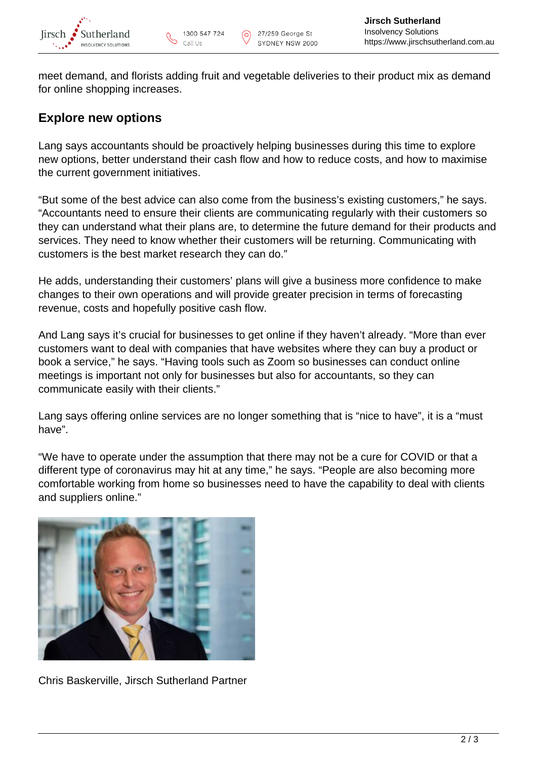

meet demand, and florists adding fruit and vegetable deliveries to their product mix as demand for online shopping increases.

## **Explore new options**

Lang says accountants should be proactively helping businesses during this time to explore new options, better understand their cash flow and how to reduce costs, and how to maximise the current government initiatives.

"But some of the best advice can also come from the business's existing customers," he says. "Accountants need to ensure their clients are communicating regularly with their customers so they can understand what their plans are, to determine the future demand for their products and services. They need to know whether their customers will be returning. Communicating with customers is the best market research they can do."

He adds, understanding their customers' plans will give a business more confidence to make changes to their own operations and will provide greater precision in terms of forecasting revenue, costs and hopefully positive cash flow.

And Lang says it's crucial for businesses to get online if they haven't already. "More than ever customers want to deal with companies that have websites where they can buy a product or book a service," he says. "Having tools such as Zoom so businesses can conduct online meetings is important not only for businesses but also for accountants, so they can communicate easily with their clients."

Lang says offering online services are no longer something that is "nice to have", it is a "must have".

"We have to operate under the assumption that there may not be a cure for COVID or that a different type of coronavirus may hit at any time," he says. "People are also becoming more comfortable working from home so businesses need to have the capability to deal with clients and suppliers online."



Chris Baskerville, Jirsch Sutherland Partner